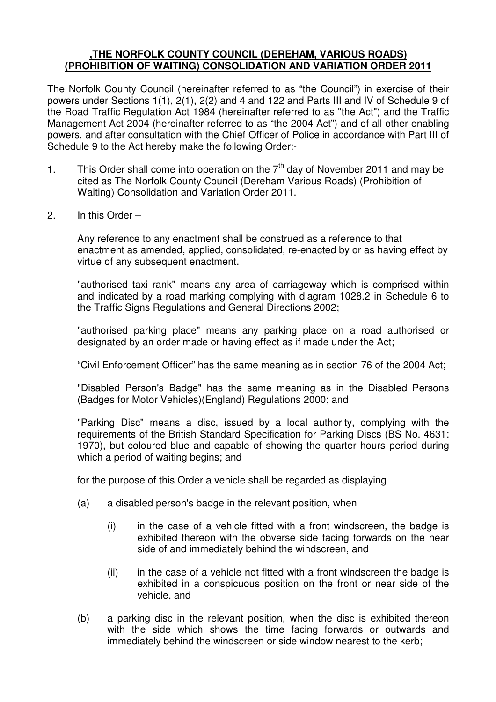### **,THE NORFOLK COUNTY COUNCIL (DEREHAM, VARIOUS ROADS) (PROHIBITION OF WAITING) CONSOLIDATION AND VARIATION ORDER 2011**

The Norfolk County Council (hereinafter referred to as "the Council") in exercise of their powers under Sections 1(1), 2(1), 2(2) and 4 and 122 and Parts III and IV of Schedule 9 of the Road Traffic Regulation Act 1984 (hereinafter referred to as "the Act") and the Traffic Management Act 2004 (hereinafter referred to as "the 2004 Act") and of all other enabling powers, and after consultation with the Chief Officer of Police in accordance with Part III of Schedule 9 to the Act hereby make the following Order:-

- 1. This Order shall come into operation on the  $7<sup>th</sup>$  day of November 2011 and may be cited as The Norfolk County Council (Dereham Various Roads) (Prohibition of Waiting) Consolidation and Variation Order 2011.
- 2. In this Order –

Any reference to any enactment shall be construed as a reference to that enactment as amended, applied, consolidated, re-enacted by or as having effect by virtue of any subsequent enactment.

 "authorised taxi rank" means any area of carriageway which is comprised within and indicated by a road marking complying with diagram 1028.2 in Schedule 6 to the Traffic Signs Regulations and General Directions 2002;

 "authorised parking place" means any parking place on a road authorised or designated by an order made or having effect as if made under the Act;

"Civil Enforcement Officer" has the same meaning as in section 76 of the 2004 Act;

 "Disabled Person's Badge" has the same meaning as in the Disabled Persons (Badges for Motor Vehicles)(England) Regulations 2000; and

 "Parking Disc" means a disc, issued by a local authority, complying with the requirements of the British Standard Specification for Parking Discs (BS No. 4631: 1970), but coloured blue and capable of showing the quarter hours period during which a period of waiting begins; and

for the purpose of this Order a vehicle shall be regarded as displaying

- (a) a disabled person's badge in the relevant position, when
	- $(i)$  in the case of a vehicle fitted with a front windscreen, the badge is exhibited thereon with the obverse side facing forwards on the near side of and immediately behind the windscreen, and
	- (ii) in the case of a vehicle not fitted with a front windscreen the badge is exhibited in a conspicuous position on the front or near side of the vehicle, and
- (b) a parking disc in the relevant position, when the disc is exhibited thereon with the side which shows the time facing forwards or outwards and immediately behind the windscreen or side window nearest to the kerb;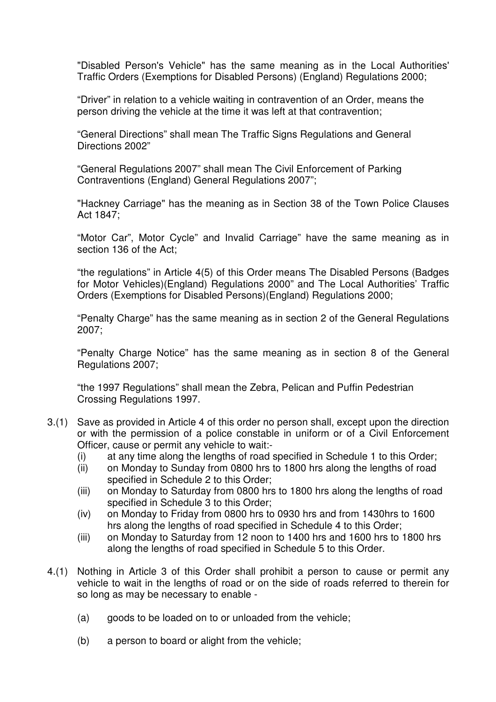"Disabled Person's Vehicle" has the same meaning as in the Local Authorities' Traffic Orders (Exemptions for Disabled Persons) (England) Regulations 2000;

"Driver" in relation to a vehicle waiting in contravention of an Order, means the person driving the vehicle at the time it was left at that contravention;

"General Directions" shall mean The Traffic Signs Regulations and General Directions 2002"

"General Regulations 2007" shall mean The Civil Enforcement of Parking Contraventions (England) General Regulations 2007";

 "Hackney Carriage" has the meaning as in Section 38 of the Town Police Clauses Act 1847;

 "Motor Car", Motor Cycle" and Invalid Carriage" have the same meaning as in section 136 of the Act;

 "the regulations" in Article 4(5) of this Order means The Disabled Persons (Badges for Motor Vehicles)(England) Regulations 2000" and The Local Authorities' Traffic Orders (Exemptions for Disabled Persons)(England) Regulations 2000;

 "Penalty Charge" has the same meaning as in section 2 of the General Regulations 2007;

 "Penalty Charge Notice" has the same meaning as in section 8 of the General Regulations 2007;

"the 1997 Regulations" shall mean the Zebra, Pelican and Puffin Pedestrian Crossing Regulations 1997.

- 3.(1) Save as provided in Article 4 of this order no person shall, except upon the direction or with the permission of a police constable in uniform or of a Civil Enforcement Officer, cause or permit any vehicle to wait:-
	- (i) at any time along the lengths of road specified in Schedule 1 to this Order;
	- (ii) on Monday to Sunday from 0800 hrs to 1800 hrs along the lengths of road specified in Schedule 2 to this Order;
	- (iii) on Monday to Saturday from 0800 hrs to 1800 hrs along the lengths of road specified in Schedule 3 to this Order;
	- (iv) on Monday to Friday from 0800 hrs to 0930 hrs and from 1430hrs to 1600 hrs along the lengths of road specified in Schedule 4 to this Order;
	- (iii) on Monday to Saturday from 12 noon to 1400 hrs and 1600 hrs to 1800 hrs along the lengths of road specified in Schedule 5 to this Order.
- 4.(1) Nothing in Article 3 of this Order shall prohibit a person to cause or permit any vehicle to wait in the lengths of road or on the side of roads referred to therein for so long as may be necessary to enable -
	- (a) goods to be loaded on to or unloaded from the vehicle;
	- (b) a person to board or alight from the vehicle;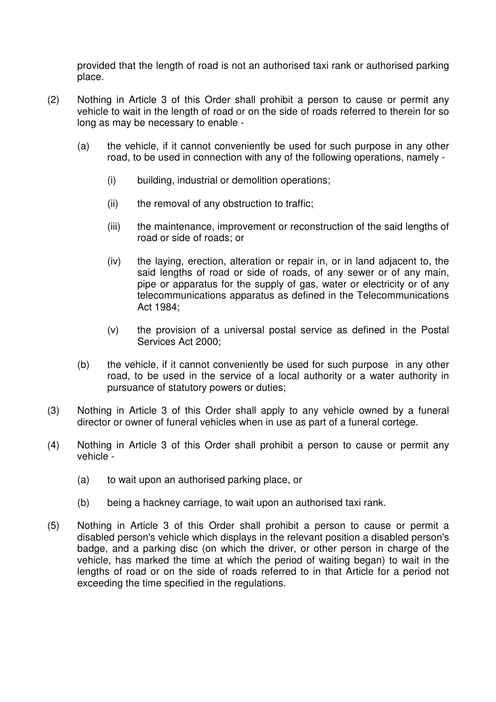provided that the length of road is not an authorised taxi rank or authorised parking place.

- (2) Nothing in Article 3 of this Order shall prohibit a person to cause or permit any vehicle to wait in the length of road or on the side of roads referred to therein for so long as may be necessary to enable -
	- (a) the vehicle, if it cannot conveniently be used for such purpose in any other road, to be used in connection with any of the following operations, namely -
		- (i) building, industrial or demolition operations;
		- (ii) the removal of any obstruction to traffic;
		- (iii) the maintenance, improvement or reconstruction of the said lengths of road or side of roads; or
		- (iv) the laying, erection, alteration or repair in, or in land adjacent to, the said lengths of road or side of roads, of any sewer or of any main, pipe or apparatus for the supply of gas, water or electricity or of any telecommunications apparatus as defined in the Telecommunications Act 1984;
		- (v) the provision of a universal postal service as defined in the Postal Services Act 2000;
	- (b) the vehicle, if it cannot conveniently be used for such purpose in any other road, to be used in the service of a local authority or a water authority in pursuance of statutory powers or duties;
- (3) Nothing in Article 3 of this Order shall apply to any vehicle owned by a funeral director or owner of funeral vehicles when in use as part of a funeral cortege.
- (4) Nothing in Article 3 of this Order shall prohibit a person to cause or permit any vehicle -
	- (a) to wait upon an authorised parking place, or
	- (b) being a hackney carriage, to wait upon an authorised taxi rank.
- (5) Nothing in Article 3 of this Order shall prohibit a person to cause or permit a disabled person's vehicle which displays in the relevant position a disabled person's badge, and a parking disc (on which the driver, or other person in charge of the vehicle, has marked the time at which the period of waiting began) to wait in the lengths of road or on the side of roads referred to in that Article for a period not exceeding the time specified in the regulations.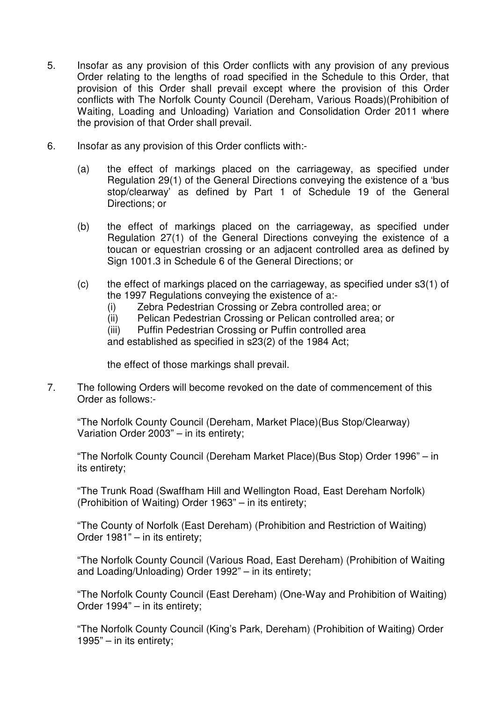- 5. Insofar as any provision of this Order conflicts with any provision of any previous Order relating to the lengths of road specified in the Schedule to this Order, that provision of this Order shall prevail except where the provision of this Order conflicts with The Norfolk County Council (Dereham, Various Roads)(Prohibition of Waiting, Loading and Unloading) Variation and Consolidation Order 2011 where the provision of that Order shall prevail.
- 6. Insofar as any provision of this Order conflicts with:-
	- (a) the effect of markings placed on the carriageway, as specified under Regulation 29(1) of the General Directions conveying the existence of a 'bus stop/clearway' as defined by Part 1 of Schedule 19 of the General Directions; or
	- (b) the effect of markings placed on the carriageway, as specified under Regulation 27(1) of the General Directions conveying the existence of a toucan or equestrian crossing or an adjacent controlled area as defined by Sign 1001.3 in Schedule 6 of the General Directions; or
	- (c) the effect of markings placed on the carriageway, as specified under s3(1) of the 1997 Regulations conveying the existence of a:-
		- (i) Zebra Pedestrian Crossing or Zebra controlled area; or
		- (ii) Pelican Pedestrian Crossing or Pelican controlled area; or

(iii) Puffin Pedestrian Crossing or Puffin controlled area and established as specified in s23(2) of the 1984 Act;

the effect of those markings shall prevail.

7. The following Orders will become revoked on the date of commencement of this Order as follows:-

"The Norfolk County Council (Dereham, Market Place)(Bus Stop/Clearway) Variation Order 2003" – in its entirety;

"The Norfolk County Council (Dereham Market Place)(Bus Stop) Order 1996" – in its entirety;

"The Trunk Road (Swaffham Hill and Wellington Road, East Dereham Norfolk) (Prohibition of Waiting) Order 1963" – in its entirety;

"The County of Norfolk (East Dereham) (Prohibition and Restriction of Waiting) Order 1981" – in its entirety;

"The Norfolk County Council (Various Road, East Dereham) (Prohibition of Waiting and Loading/Unloading) Order 1992" – in its entirety;

"The Norfolk County Council (East Dereham) (One-Way and Prohibition of Waiting) Order 1994" – in its entirety;

"The Norfolk County Council (King's Park, Dereham) (Prohibition of Waiting) Order 1995" – in its entirety;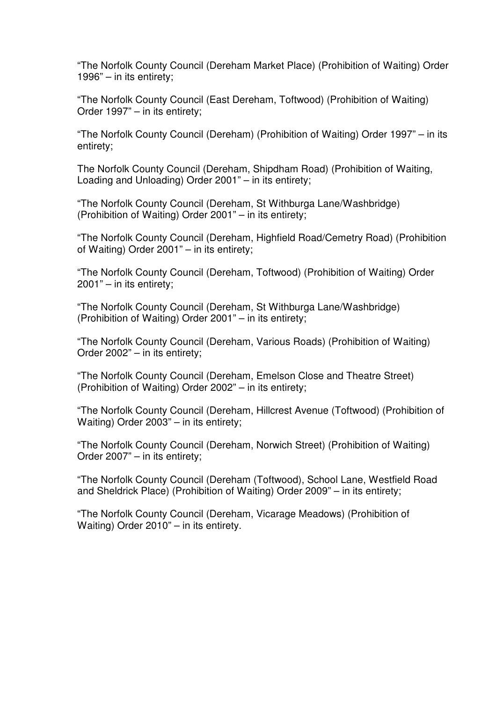"The Norfolk County Council (Dereham Market Place) (Prohibition of Waiting) Order 1996" – in its entirety;

"The Norfolk County Council (East Dereham, Toftwood) (Prohibition of Waiting) Order 1997" – in its entirety;

"The Norfolk County Council (Dereham) (Prohibition of Waiting) Order 1997" – in its entirety;

The Norfolk County Council (Dereham, Shipdham Road) (Prohibition of Waiting, Loading and Unloading) Order 2001" – in its entirety;

"The Norfolk County Council (Dereham, St Withburga Lane/Washbridge) (Prohibition of Waiting) Order 2001" – in its entirety;

"The Norfolk County Council (Dereham, Highfield Road/Cemetry Road) (Prohibition of Waiting) Order 2001" – in its entirety;

"The Norfolk County Council (Dereham, Toftwood) (Prohibition of Waiting) Order 2001" – in its entirety;

"The Norfolk County Council (Dereham, St Withburga Lane/Washbridge) (Prohibition of Waiting) Order 2001" – in its entirety;

"The Norfolk County Council (Dereham, Various Roads) (Prohibition of Waiting) Order 2002" – in its entirety;

"The Norfolk County Council (Dereham, Emelson Close and Theatre Street) (Prohibition of Waiting) Order 2002" – in its entirety;

"The Norfolk County Council (Dereham, Hillcrest Avenue (Toftwood) (Prohibition of Waiting) Order 2003" – in its entirety;

"The Norfolk County Council (Dereham, Norwich Street) (Prohibition of Waiting) Order 2007" – in its entirety;

"The Norfolk County Council (Dereham (Toftwood), School Lane, Westfield Road and Sheldrick Place) (Prohibition of Waiting) Order 2009" – in its entirety;

"The Norfolk County Council (Dereham, Vicarage Meadows) (Prohibition of Waiting) Order 2010" – in its entirety.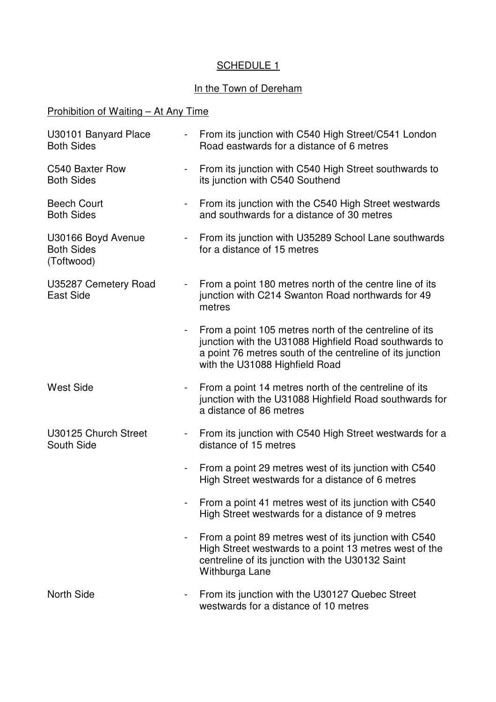## SCHEDULE 1

## In the Town of Dereham

# Prohibition of Waiting – At Any Time

| U30101 Banyard Place<br><b>Both Sides</b>             | $\blacksquare$           | From its junction with C540 High Street/C541 London<br>Road eastwards for a distance of 6 metres                                                                                                               |
|-------------------------------------------------------|--------------------------|----------------------------------------------------------------------------------------------------------------------------------------------------------------------------------------------------------------|
| C540 Baxter Row<br><b>Both Sides</b>                  | $\overline{\phantom{a}}$ | From its junction with C540 High Street southwards to<br>its junction with C540 Southend                                                                                                                       |
| <b>Beech Court</b><br><b>Both Sides</b>               | $\blacksquare$           | From its junction with the C540 High Street westwards<br>and southwards for a distance of 30 metres                                                                                                            |
| U30166 Boyd Avenue<br><b>Both Sides</b><br>(Toftwood) |                          | From its junction with U35289 School Lane southwards<br>for a distance of 15 metres                                                                                                                            |
| U35287 Cemetery Road<br><b>East Side</b>              | $\blacksquare$           | From a point 180 metres north of the centre line of its<br>junction with C214 Swanton Road northwards for 49<br>metres                                                                                         |
|                                                       |                          | From a point 105 metres north of the centreline of its<br>junction with the U31088 Highfield Road southwards to<br>a point 76 metres south of the centreline of its junction<br>with the U31088 Highfield Road |
| <b>West Side</b>                                      |                          | From a point 14 metres north of the centreline of its<br>junction with the U31088 Highfield Road southwards for<br>a distance of 86 metres                                                                     |
| U30125 Church Street<br>South Side                    |                          | From its junction with C540 High Street westwards for a<br>distance of 15 metres                                                                                                                               |
|                                                       |                          | From a point 29 metres west of its junction with C540<br>High Street westwards for a distance of 6 metres                                                                                                      |
|                                                       |                          | From a point 41 metres west of its junction with C540<br>High Street westwards for a distance of 9 metres                                                                                                      |
|                                                       |                          | From a point 89 metres west of its junction with C540<br>High Street westwards to a point 13 metres west of the<br>centreline of its junction with the U30132 Saint<br>Withburga Lane                          |
| <b>North Side</b>                                     |                          | From its junction with the U30127 Quebec Street<br>westwards for a distance of 10 metres                                                                                                                       |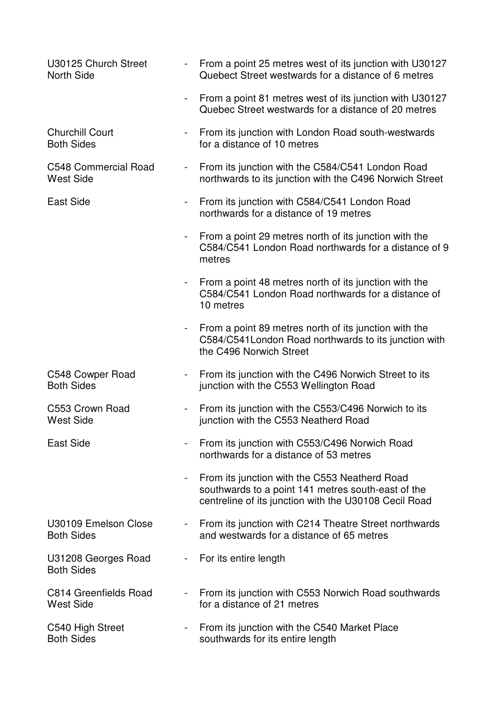| U30125 Church Street<br><b>North Side</b>   |                | From a point 25 metres west of its junction with U30127<br>Quebect Street westwards for a distance of 6 metres                                               |
|---------------------------------------------|----------------|--------------------------------------------------------------------------------------------------------------------------------------------------------------|
|                                             |                | From a point 81 metres west of its junction with U30127<br>Quebec Street westwards for a distance of 20 metres                                               |
| <b>Churchill Court</b><br><b>Both Sides</b> | $\blacksquare$ | From its junction with London Road south-westwards<br>for a distance of 10 metres                                                                            |
| C548 Commercial Road<br><b>West Side</b>    |                | From its junction with the C584/C541 London Road<br>northwards to its junction with the C496 Norwich Street                                                  |
| East Side                                   | $\blacksquare$ | From its junction with C584/C541 London Road<br>northwards for a distance of 19 metres                                                                       |
|                                             | $\blacksquare$ | From a point 29 metres north of its junction with the<br>C584/C541 London Road northwards for a distance of 9<br>metres                                      |
|                                             |                | From a point 48 metres north of its junction with the<br>C584/C541 London Road northwards for a distance of<br>10 metres                                     |
|                                             | $\blacksquare$ | From a point 89 metres north of its junction with the<br>C584/C541 London Road northwards to its junction with<br>the C496 Norwich Street                    |
| C548 Cowper Road<br><b>Both Sides</b>       | $\blacksquare$ | From its junction with the C496 Norwich Street to its<br>junction with the C553 Wellington Road                                                              |
| C553 Crown Road<br><b>West Side</b>         | $\blacksquare$ | From its junction with the C553/C496 Norwich to its<br>junction with the C553 Neatherd Road                                                                  |
| East Side                                   |                | From its junction with C553/C496 Norwich Road<br>northwards for a distance of 53 metres                                                                      |
|                                             | $\blacksquare$ | From its junction with the C553 Neatherd Road<br>southwards to a point 141 metres south-east of the<br>centreline of its junction with the U30108 Cecil Road |
| U30109 Emelson Close<br><b>Both Sides</b>   | $\blacksquare$ | From its junction with C214 Theatre Street northwards<br>and westwards for a distance of 65 metres                                                           |
| U31208 Georges Road<br><b>Both Sides</b>    | $\blacksquare$ | For its entire length                                                                                                                                        |
| C814 Greenfields Road<br><b>West Side</b>   |                | From its junction with C553 Norwich Road southwards<br>for a distance of 21 metres                                                                           |
| C540 High Street<br><b>Both Sides</b>       |                | From its junction with the C540 Market Place<br>southwards for its entire length                                                                             |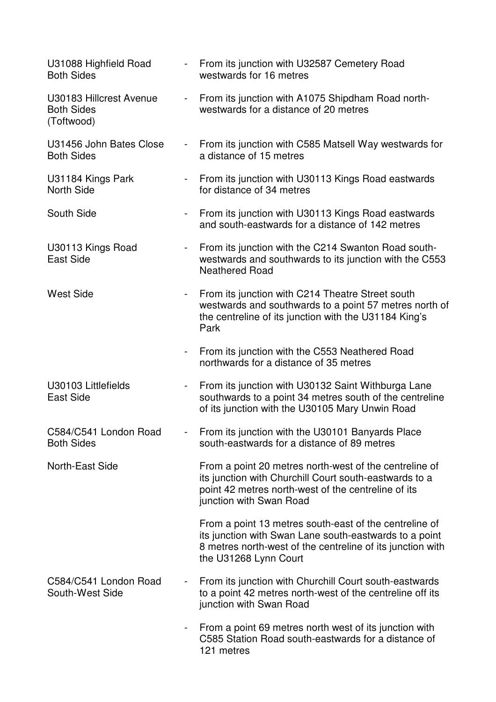| U31088 Highfield Road<br><b>Both Sides</b>                 | $\sim$                   | From its junction with U32587 Cemetery Road<br>westwards for 16 metres                                                                                                                                  |
|------------------------------------------------------------|--------------------------|---------------------------------------------------------------------------------------------------------------------------------------------------------------------------------------------------------|
| U30183 Hillcrest Avenue<br><b>Both Sides</b><br>(Toftwood) | $\blacksquare$           | From its junction with A1075 Shipdham Road north-<br>westwards for a distance of 20 metres                                                                                                              |
| U31456 John Bates Close<br><b>Both Sides</b>               | $\sim$                   | From its junction with C585 Matsell Way westwards for<br>a distance of 15 metres                                                                                                                        |
| U31184 Kings Park<br><b>North Side</b>                     | $ \,$                    | From its junction with U30113 Kings Road eastwards<br>for distance of 34 metres                                                                                                                         |
| South Side                                                 | $\blacksquare$           | From its junction with U30113 Kings Road eastwards<br>and south-eastwards for a distance of 142 metres                                                                                                  |
| U30113 Kings Road<br><b>East Side</b>                      | $\blacksquare$           | From its junction with the C214 Swanton Road south-<br>westwards and southwards to its junction with the C553<br><b>Neathered Road</b>                                                                  |
| <b>West Side</b>                                           | $\blacksquare$           | From its junction with C214 Theatre Street south<br>westwards and southwards to a point 57 metres north of<br>the centreline of its junction with the U31184 King's<br>Park                             |
|                                                            | $\blacksquare$           | From its junction with the C553 Neathered Road<br>northwards for a distance of 35 metres                                                                                                                |
| U30103 Littlefields<br><b>East Side</b>                    | $\overline{\phantom{a}}$ | From its junction with U30132 Saint Withburga Lane<br>southwards to a point 34 metres south of the centreline<br>of its junction with the U30105 Mary Unwin Road                                        |
| C584/C541 London Road<br><b>Both Sides</b>                 |                          | From its junction with the U30101 Banyards Place<br>south-eastwards for a distance of 89 metres                                                                                                         |
| North-East Side                                            |                          | From a point 20 metres north-west of the centreline of<br>its junction with Churchill Court south-eastwards to a<br>point 42 metres north-west of the centreline of its<br>junction with Swan Road      |
|                                                            |                          | From a point 13 metres south-east of the centreline of<br>its junction with Swan Lane south-eastwards to a point<br>8 metres north-west of the centreline of its junction with<br>the U31268 Lynn Court |
| C584/C541 London Road<br>South-West Side                   | $\blacksquare$           | From its junction with Churchill Court south-eastwards<br>to a point 42 metres north-west of the centreline off its<br>junction with Swan Road                                                          |
|                                                            |                          | From a point 69 metres north west of its junction with<br>C585 Station Road south-eastwards for a distance of<br>121 metres                                                                             |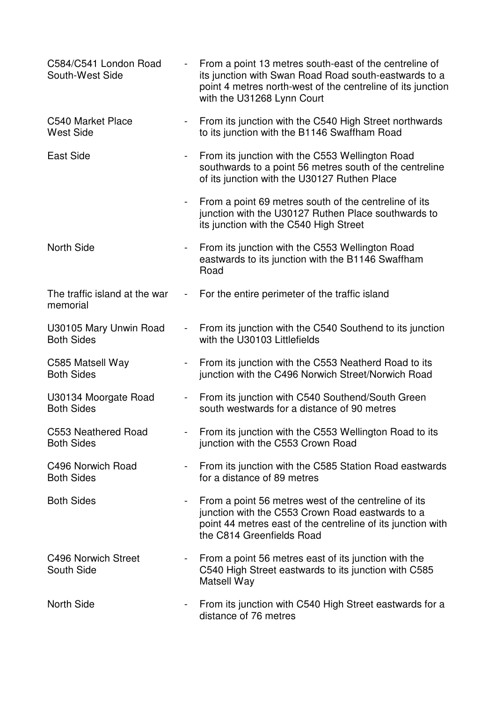| C584/C541 London Road<br>South-West Side    | $\blacksquare$ | From a point 13 metres south-east of the centreline of<br>its junction with Swan Road Road south-eastwards to a<br>point 4 metres north-west of the centreline of its junction<br>with the U31268 Lynn Court |
|---------------------------------------------|----------------|--------------------------------------------------------------------------------------------------------------------------------------------------------------------------------------------------------------|
| C540 Market Place<br><b>West Side</b>       | $\blacksquare$ | From its junction with the C540 High Street northwards<br>to its junction with the B1146 Swaffham Road                                                                                                       |
| <b>East Side</b>                            |                | From its junction with the C553 Wellington Road<br>southwards to a point 56 metres south of the centreline<br>of its junction with the U30127 Ruthen Place                                                   |
|                                             |                | From a point 69 metres south of the centreline of its<br>junction with the U30127 Ruthen Place southwards to<br>its junction with the C540 High Street                                                       |
| <b>North Side</b>                           | $\blacksquare$ | From its junction with the C553 Wellington Road<br>eastwards to its junction with the B1146 Swaffham<br>Road                                                                                                 |
| The traffic island at the war<br>memorial   | $\frac{1}{2}$  | For the entire perimeter of the traffic island                                                                                                                                                               |
| U30105 Mary Unwin Road<br><b>Both Sides</b> | $\blacksquare$ | From its junction with the C540 Southend to its junction<br>with the U30103 Littlefields                                                                                                                     |
| C585 Matsell Way<br><b>Both Sides</b>       | $\blacksquare$ | From its junction with the C553 Neatherd Road to its<br>junction with the C496 Norwich Street/Norwich Road                                                                                                   |
| U30134 Moorgate Road<br><b>Both Sides</b>   | $\blacksquare$ | From its junction with C540 Southend/South Green<br>south westwards for a distance of 90 metres                                                                                                              |
| C553 Neathered Road<br><b>Both Sides</b>    |                | From its junction with the C553 Wellington Road to its<br>junction with the C553 Crown Road                                                                                                                  |
| C496 Norwich Road<br><b>Both Sides</b>      | $\blacksquare$ | From its junction with the C585 Station Road eastwards<br>for a distance of 89 metres                                                                                                                        |
| <b>Both Sides</b>                           | $\blacksquare$ | From a point 56 metres west of the centreline of its<br>junction with the C553 Crown Road eastwards to a<br>point 44 metres east of the centreline of its junction with<br>the C814 Greenfields Road         |
| C496 Norwich Street<br>South Side           | $\blacksquare$ | From a point 56 metres east of its junction with the<br>C540 High Street eastwards to its junction with C585<br>Matsell Way                                                                                  |
| <b>North Side</b>                           | $\blacksquare$ | From its junction with C540 High Street eastwards for a<br>distance of 76 metres                                                                                                                             |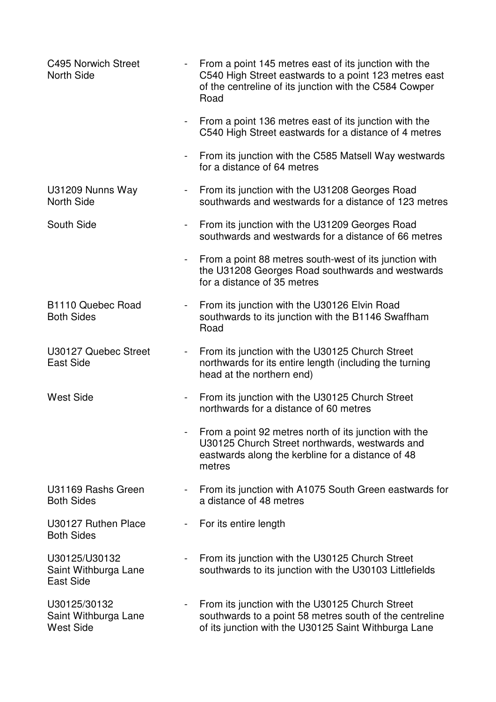| C495 Norwich Street<br><b>North Side</b>                 |                          | From a point 145 metres east of its junction with the<br>C540 High Street eastwards to a point 123 metres east<br>of the centreline of its junction with the C584 Cowper<br>Road |
|----------------------------------------------------------|--------------------------|----------------------------------------------------------------------------------------------------------------------------------------------------------------------------------|
|                                                          | $\overline{\phantom{a}}$ | From a point 136 metres east of its junction with the<br>C540 High Street eastwards for a distance of 4 metres                                                                   |
|                                                          | $\overline{\phantom{a}}$ | From its junction with the C585 Matsell Way westwards<br>for a distance of 64 metres                                                                                             |
| U31209 Nunns Way<br><b>North Side</b>                    | $\sim$                   | From its junction with the U31208 Georges Road<br>southwards and westwards for a distance of 123 metres                                                                          |
| South Side                                               | $\overline{\phantom{a}}$ | From its junction with the U31209 Georges Road<br>southwards and westwards for a distance of 66 metres                                                                           |
|                                                          | $\blacksquare$           | From a point 88 metres south-west of its junction with<br>the U31208 Georges Road southwards and westwards<br>for a distance of 35 metres                                        |
| B <sub>1110</sub> Quebec Road<br><b>Both Sides</b>       | $\blacksquare$           | From its junction with the U30126 Elvin Road<br>southwards to its junction with the B1146 Swaffham<br>Road                                                                       |
| U30127 Quebec Street<br><b>East Side</b>                 | $\blacksquare$           | From its junction with the U30125 Church Street<br>northwards for its entire length (including the turning<br>head at the northern end)                                          |
| <b>West Side</b>                                         | $\blacksquare$           | From its junction with the U30125 Church Street<br>northwards for a distance of 60 metres                                                                                        |
|                                                          |                          | From a point 92 metres north of its junction with the<br>U30125 Church Street northwards, westwards and<br>eastwards along the kerbline for a distance of 48<br>metres           |
| U31169 Rashs Green<br><b>Both Sides</b>                  | $\overline{\phantom{a}}$ | From its junction with A1075 South Green eastwards for<br>a distance of 48 metres                                                                                                |
| U30127 Ruthen Place<br><b>Both Sides</b>                 |                          | For its entire length                                                                                                                                                            |
| U30125/U30132<br>Saint Withburga Lane<br>East Side       |                          | From its junction with the U30125 Church Street<br>southwards to its junction with the U30103 Littlefields                                                                       |
| U30125/30132<br>Saint Withburga Lane<br><b>West Side</b> |                          | From its junction with the U30125 Church Street<br>southwards to a point 58 metres south of the centreline<br>of its junction with the U30125 Saint Withburga Lane               |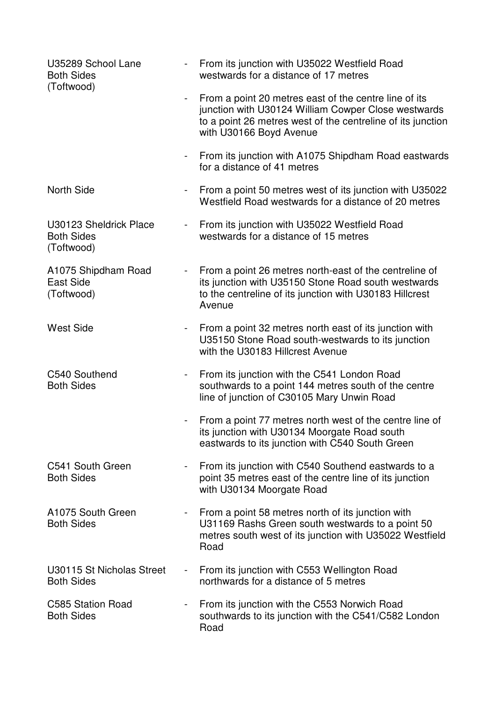| U35289 School Lane<br><b>Both Sides</b><br>(Toftwood)     | $\sim$                   | From its junction with U35022 Westfield Road<br>westwards for a distance of 17 metres                                                                                                                  |
|-----------------------------------------------------------|--------------------------|--------------------------------------------------------------------------------------------------------------------------------------------------------------------------------------------------------|
|                                                           | $\blacksquare$           | From a point 20 metres east of the centre line of its<br>junction with U30124 William Cowper Close westwards<br>to a point 26 metres west of the centreline of its junction<br>with U30166 Boyd Avenue |
|                                                           | $\overline{\phantom{a}}$ | From its junction with A1075 Shipdham Road eastwards<br>for a distance of 41 metres                                                                                                                    |
| <b>North Side</b>                                         | $\overline{\phantom{a}}$ | From a point 50 metres west of its junction with U35022<br>Westfield Road westwards for a distance of 20 metres                                                                                        |
| U30123 Sheldrick Place<br><b>Both Sides</b><br>(Toftwood) | $\overline{\phantom{a}}$ | From its junction with U35022 Westfield Road<br>westwards for a distance of 15 metres                                                                                                                  |
| A1075 Shipdham Road<br><b>East Side</b><br>(Toftwood)     | $\blacksquare$           | From a point 26 metres north-east of the centreline of<br>its junction with U35150 Stone Road south westwards<br>to the centreline of its junction with U30183 Hillcrest<br>Avenue                     |
| <b>West Side</b>                                          | $\blacksquare$           | From a point 32 metres north east of its junction with<br>U35150 Stone Road south-westwards to its junction<br>with the U30183 Hillcrest Avenue                                                        |
| C540 Southend<br><b>Both Sides</b>                        | $\blacksquare$           | From its junction with the C541 London Road<br>southwards to a point 144 metres south of the centre<br>line of junction of C30105 Mary Unwin Road                                                      |
|                                                           |                          | From a point 77 metres north west of the centre line of<br>its junction with U30134 Moorgate Road south<br>eastwards to its junction with C540 South Green                                             |
| C541 South Green<br><b>Both Sides</b>                     |                          | From its junction with C540 Southend eastwards to a<br>point 35 metres east of the centre line of its junction<br>with U30134 Moorgate Road                                                            |
| A1075 South Green<br><b>Both Sides</b>                    |                          | From a point 58 metres north of its junction with<br>U31169 Rashs Green south westwards to a point 50<br>metres south west of its junction with U35022 Westfield<br>Road                               |
| U30115 St Nicholas Street<br><b>Both Sides</b>            | $\blacksquare$           | From its junction with C553 Wellington Road<br>northwards for a distance of 5 metres                                                                                                                   |
| C585 Station Road<br><b>Both Sides</b>                    |                          | From its junction with the C553 Norwich Road<br>southwards to its junction with the C541/C582 London<br>Road                                                                                           |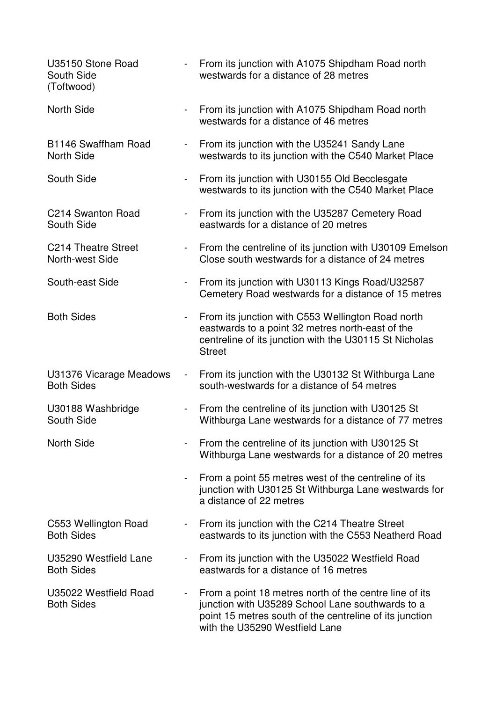| U35150 Stone Road<br>South Side<br>(Toftwood) |                          | From its junction with A1075 Shipdham Road north<br>westwards for a distance of 28 metres                                                                                                               |
|-----------------------------------------------|--------------------------|---------------------------------------------------------------------------------------------------------------------------------------------------------------------------------------------------------|
| <b>North Side</b>                             | $\sim$                   | From its junction with A1075 Shipdham Road north<br>westwards for a distance of 46 metres                                                                                                               |
| B1146 Swaffham Road<br><b>North Side</b>      | $\overline{\phantom{a}}$ | From its junction with the U35241 Sandy Lane<br>westwards to its junction with the C540 Market Place                                                                                                    |
| South Side                                    | $\blacksquare$           | From its junction with U30155 Old Becclesgate<br>westwards to its junction with the C540 Market Place                                                                                                   |
| C214 Swanton Road<br>South Side               |                          | From its junction with the U35287 Cemetery Road<br>eastwards for a distance of 20 metres                                                                                                                |
| C214 Theatre Street<br>North-west Side        | $\blacksquare$           | From the centreline of its junction with U30109 Emelson<br>Close south westwards for a distance of 24 metres                                                                                            |
| South-east Side                               | $\blacksquare$           | From its junction with U30113 Kings Road/U32587<br>Cemetery Road westwards for a distance of 15 metres                                                                                                  |
| <b>Both Sides</b>                             | $\blacksquare$           | From its junction with C553 Wellington Road north<br>eastwards to a point 32 metres north-east of the<br>centreline of its junction with the U30115 St Nicholas<br><b>Street</b>                        |
| U31376 Vicarage Meadows<br><b>Both Sides</b>  | $\blacksquare$           | From its junction with the U30132 St Withburga Lane<br>south-westwards for a distance of 54 metres                                                                                                      |
| U30188 Washbridge<br>South Side               |                          | From the centreline of its junction with U30125 St<br>Withburga Lane westwards for a distance of 77 metres                                                                                              |
| <b>North Side</b>                             |                          | From the centreline of its junction with U30125 St<br>Withburga Lane westwards for a distance of 20 metres                                                                                              |
|                                               |                          | From a point 55 metres west of the centreline of its<br>junction with U30125 St Withburga Lane westwards for<br>a distance of 22 metres                                                                 |
| C553 Wellington Road<br><b>Both Sides</b>     | $\blacksquare$           | From its junction with the C214 Theatre Street<br>eastwards to its junction with the C553 Neatherd Road                                                                                                 |
| U35290 Westfield Lane<br><b>Both Sides</b>    |                          | From its junction with the U35022 Westfield Road<br>eastwards for a distance of 16 metres                                                                                                               |
| U35022 Westfield Road<br><b>Both Sides</b>    |                          | From a point 18 metres north of the centre line of its<br>junction with U35289 School Lane southwards to a<br>point 15 metres south of the centreline of its junction<br>with the U35290 Westfield Lane |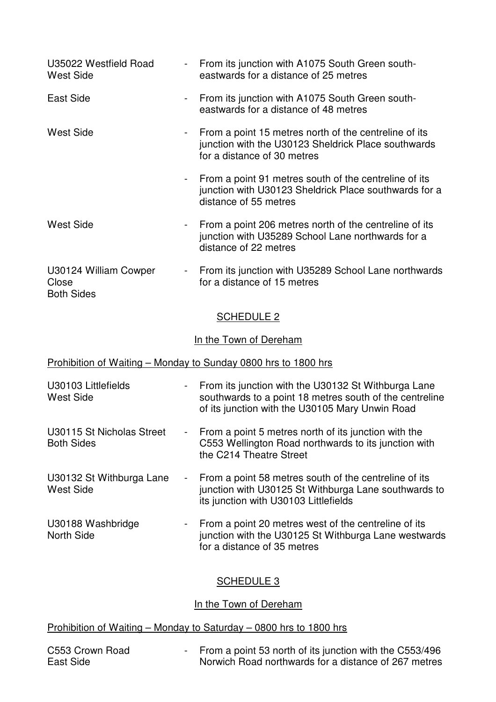| U35022 Westfield Road<br><b>West Side</b>           |                          | From its junction with A1075 South Green south-<br>eastwards for a distance of 25 metres                                                                          |
|-----------------------------------------------------|--------------------------|-------------------------------------------------------------------------------------------------------------------------------------------------------------------|
| East Side                                           |                          | From its junction with A1075 South Green south-<br>eastwards for a distance of 48 metres                                                                          |
| <b>West Side</b>                                    |                          | From a point 15 metres north of the centreline of its<br>junction with the U30123 Sheldrick Place southwards<br>for a distance of 30 metres                       |
|                                                     |                          | From a point 91 metres south of the centreline of its<br>junction with U30123 Sheldrick Place southwards for a<br>distance of 55 metres                           |
| <b>West Side</b>                                    |                          | From a point 206 metres north of the centreline of its<br>junction with U35289 School Lane northwards for a<br>distance of 22 metres                              |
| U30124 William Cowper<br>Close<br><b>Both Sides</b> |                          | - From its junction with U35289 School Lane northwards<br>for a distance of 15 metres                                                                             |
|                                                     |                          | <b>SCHEDULE 2</b>                                                                                                                                                 |
|                                                     |                          | In the Town of Dereham                                                                                                                                            |
|                                                     |                          | Prohibition of Waiting - Monday to Sunday 0800 hrs to 1800 hrs                                                                                                    |
| U30103 Littlefields<br><b>West Side</b>             | $\overline{\phantom{a}}$ | From its junction with the U30132 St Withburga Lane<br>southwards to a point 18 metres south of the centreline<br>of its junction with the U30105 Mary Unwin Road |
| U30115 St Nicholas Street<br><b>Both Sides</b>      |                          | From a point 5 metres north of its junction with the<br>C553 Wellington Road northwards to its junction with<br>the C214 Theatre Street                           |
| U30132 St Withburga Lane<br><b>West Side</b>        |                          | From a point 58 metres south of the centreline of its<br>junction with U30125 St Withburga Lane southwards to<br>its junction with U30103 Littlefields            |
| U30188 Washbridge<br>North Side                     |                          | From a point 20 metres west of the centreline of its<br>junction with the U30125 St Withburga Lane westwards<br>for a distance of 35 metres                       |
|                                                     |                          |                                                                                                                                                                   |

# SCHEDULE 3

## In the Town of Dereham

# Prohibition of Waiting – Monday to Saturday – 0800 hrs to 1800 hrs

| C553 Crown Road | - From a point 53 north of its junction with the C553/496 |
|-----------------|-----------------------------------------------------------|
| East Side       | Norwich Road northwards for a distance of 267 metres      |